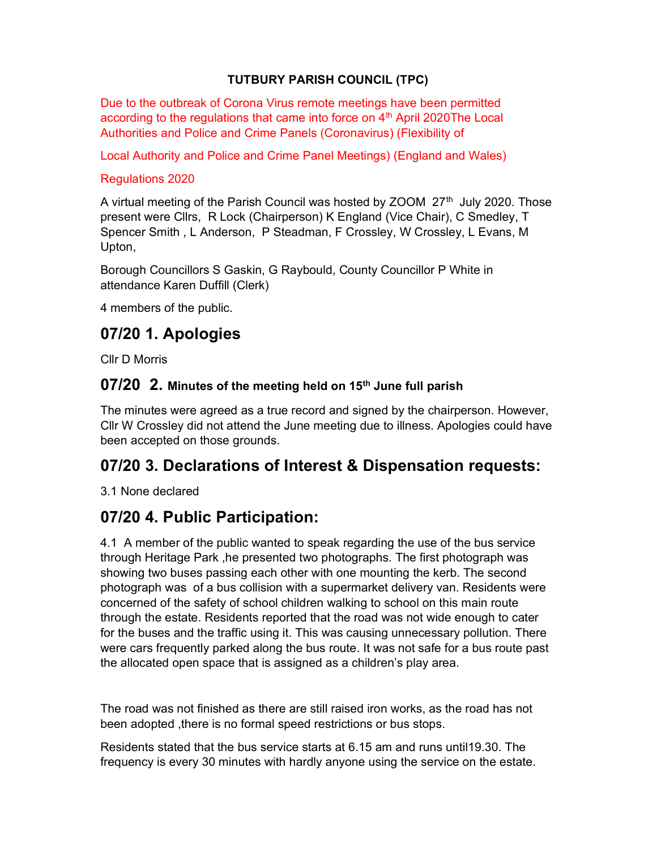#### TUTBURY PARISH COUNCIL (TPC)

Due to the outbreak of Corona Virus remote meetings have been permitted according to the regulations that came into force on  $4<sup>th</sup>$  April 2020The Local Authorities and Police and Crime Panels (Coronavirus) (Flexibility of

Local Authority and Police and Crime Panel Meetings) (England and Wales)

#### Regulations 2020

A virtual meeting of the Parish Council was hosted by  $ZOOM 27<sup>th</sup>$  July 2020. Those present were Cllrs, R Lock (Chairperson) K England (Vice Chair), C Smedley, T Spencer Smith , L Anderson, P Steadman, F Crossley, W Crossley, L Evans, M Upton,

Borough Councillors S Gaskin, G Raybould, County Councillor P White in attendance Karen Duffill (Clerk)

4 members of the public.

### 07/20 1. Apologies

Cllr D Morris

#### $07/20$  2. Minutes of the meeting held on 15<sup>th</sup> June full parish

The minutes were agreed as a true record and signed by the chairperson. However, Cllr W Crossley did not attend the June meeting due to illness. Apologies could have been accepted on those grounds.

### 07/20 3. Declarations of Interest & Dispensation requests:

3.1 None declared

### 07/20 4. Public Participation:

4.1 A member of the public wanted to speak regarding the use of the bus service through Heritage Park ,he presented two photographs. The first photograph was showing two buses passing each other with one mounting the kerb. The second photograph was of a bus collision with a supermarket delivery van. Residents were concerned of the safety of school children walking to school on this main route through the estate. Residents reported that the road was not wide enough to cater for the buses and the traffic using it. This was causing unnecessary pollution. There were cars frequently parked along the bus route. It was not safe for a bus route past the allocated open space that is assigned as a children's play area.

The road was not finished as there are still raised iron works, as the road has not been adopted ,there is no formal speed restrictions or bus stops.

Residents stated that the bus service starts at 6.15 am and runs until19.30. The frequency is every 30 minutes with hardly anyone using the service on the estate.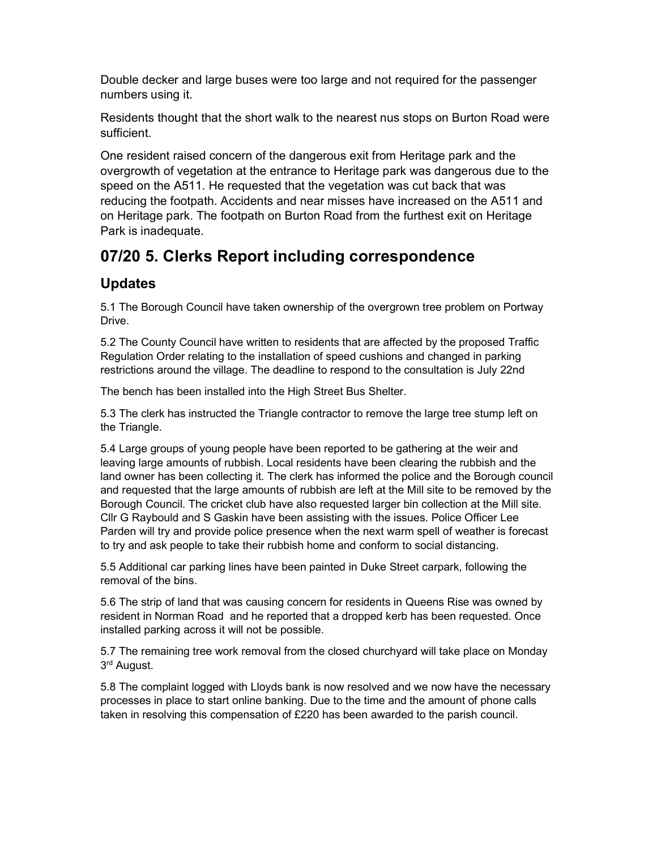Double decker and large buses were too large and not required for the passenger numbers using it.

Residents thought that the short walk to the nearest nus stops on Burton Road were sufficient.

One resident raised concern of the dangerous exit from Heritage park and the overgrowth of vegetation at the entrance to Heritage park was dangerous due to the speed on the A511. He requested that the vegetation was cut back that was reducing the footpath. Accidents and near misses have increased on the A511 and on Heritage park. The footpath on Burton Road from the furthest exit on Heritage Park is inadequate.

# 07/20 5. Clerks Report including correspondence

#### Updates

5.1 The Borough Council have taken ownership of the overgrown tree problem on Portway Drive.

5.2 The County Council have written to residents that are affected by the proposed Traffic Regulation Order relating to the installation of speed cushions and changed in parking restrictions around the village. The deadline to respond to the consultation is July 22nd

The bench has been installed into the High Street Bus Shelter.

5.3 The clerk has instructed the Triangle contractor to remove the large tree stump left on the Triangle.

5.4 Large groups of young people have been reported to be gathering at the weir and leaving large amounts of rubbish. Local residents have been clearing the rubbish and the land owner has been collecting it. The clerk has informed the police and the Borough council and requested that the large amounts of rubbish are left at the Mill site to be removed by the Borough Council. The cricket club have also requested larger bin collection at the Mill site. Cllr G Raybould and S Gaskin have been assisting with the issues. Police Officer Lee Parden will try and provide police presence when the next warm spell of weather is forecast to try and ask people to take their rubbish home and conform to social distancing.

5.5 Additional car parking lines have been painted in Duke Street carpark, following the removal of the bins.

5.6 The strip of land that was causing concern for residents in Queens Rise was owned by resident in Norman Road and he reported that a dropped kerb has been requested. Once installed parking across it will not be possible.

5.7 The remaining tree work removal from the closed churchyard will take place on Monday 3<sup>rd</sup> August.

5.8 The complaint logged with Lloyds bank is now resolved and we now have the necessary processes in place to start online banking. Due to the time and the amount of phone calls taken in resolving this compensation of £220 has been awarded to the parish council.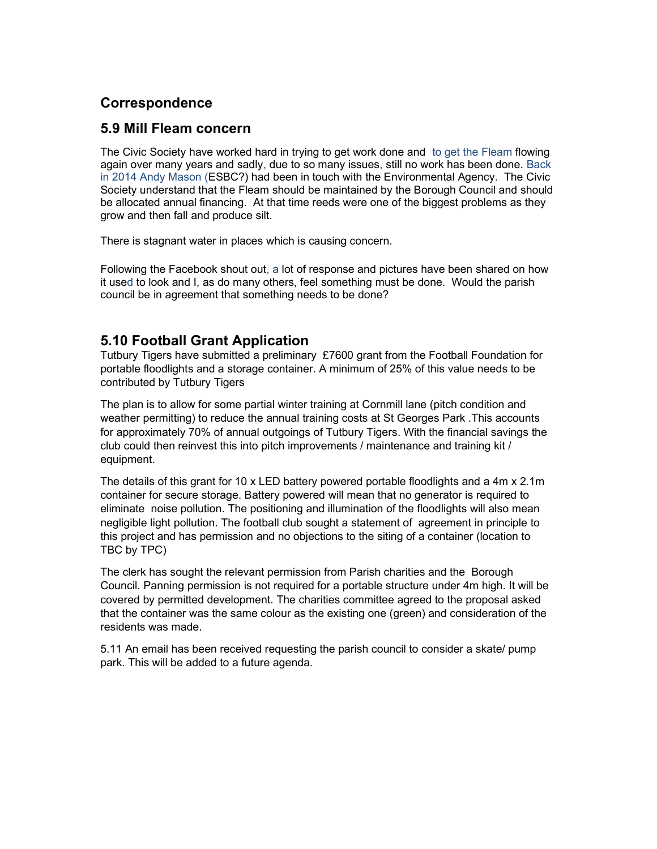#### Correspondence

#### 5.9 Mill Fleam concern

The Civic Society have worked hard in trying to get work done and to get the Fleam flowing again over many years and sadly, due to so many issues, still no work has been done. Back in 2014 Andy Mason (ESBC?) had been in touch with the Environmental Agency. The Civic Society understand that the Fleam should be maintained by the Borough Council and should be allocated annual financing. At that time reeds were one of the biggest problems as they grow and then fall and produce silt.

There is stagnant water in places which is causing concern.

Following the Facebook shout out, a lot of response and pictures have been shared on how it used to look and I, as do many others, feel something must be done. Would the parish council be in agreement that something needs to be done?

#### 5.10 Football Grant Application

Tutbury Tigers have submitted a preliminary £7600 grant from the Football Foundation for portable floodlights and a storage container. A minimum of 25% of this value needs to be contributed by Tutbury Tigers

The plan is to allow for some partial winter training at Cornmill lane (pitch condition and weather permitting) to reduce the annual training costs at St Georges Park .This accounts for approximately 70% of annual outgoings of Tutbury Tigers. With the financial savings the club could then reinvest this into pitch improvements / maintenance and training kit / equipment.

The details of this grant for 10 x LED battery powered portable floodlights and a 4m x 2.1m container for secure storage. Battery powered will mean that no generator is required to eliminate noise pollution. The positioning and illumination of the floodlights will also mean negligible light pollution. The football club sought a statement of agreement in principle to this project and has permission and no objections to the siting of a container (location to TBC by TPC)

The clerk has sought the relevant permission from Parish charities and the Borough Council. Panning permission is not required for a portable structure under 4m high. It will be covered by permitted development. The charities committee agreed to the proposal asked that the container was the same colour as the existing one (green) and consideration of the residents was made.

5.11 An email has been received requesting the parish council to consider a skate/ pump park. This will be added to a future agenda.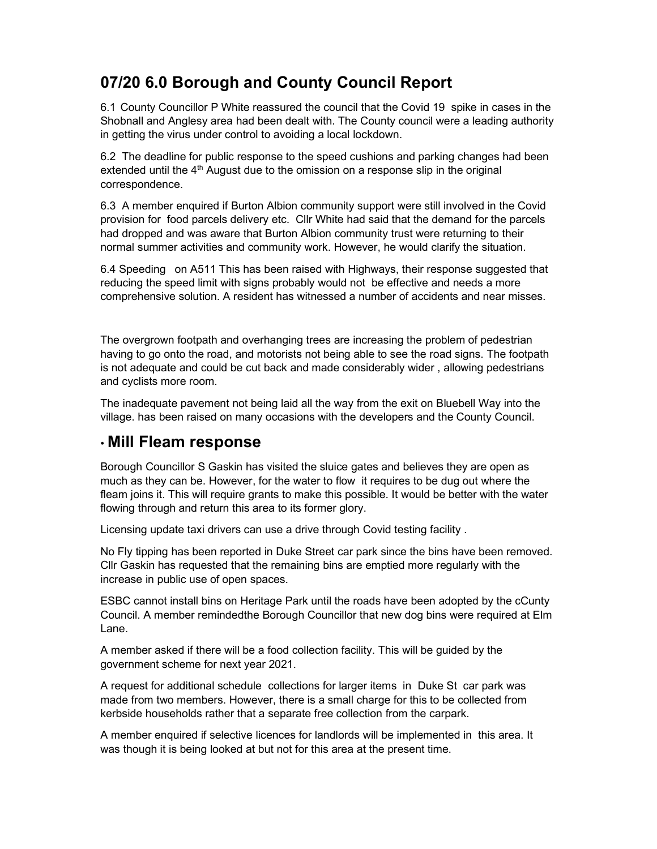## 07/20 6.0 Borough and County Council Report

6.1 County Councillor P White reassured the council that the Covid 19 spike in cases in the Shobnall and Anglesy area had been dealt with. The County council were a leading authority in getting the virus under control to avoiding a local lockdown.

6.2 The deadline for public response to the speed cushions and parking changes had been extended until the  $4<sup>th</sup>$  August due to the omission on a response slip in the original correspondence.

6.3 A member enquired if Burton Albion community support were still involved in the Covid provision for food parcels delivery etc. Cllr White had said that the demand for the parcels had dropped and was aware that Burton Albion community trust were returning to their normal summer activities and community work. However, he would clarify the situation.

6.4 Speeding on A511 This has been raised with Highways, their response suggested that reducing the speed limit with signs probably would not be effective and needs a more comprehensive solution. A resident has witnessed a number of accidents and near misses.

The overgrown footpath and overhanging trees are increasing the problem of pedestrian having to go onto the road, and motorists not being able to see the road signs. The footpath is not adequate and could be cut back and made considerably wider , allowing pedestrians and cyclists more room.

The inadequate pavement not being laid all the way from the exit on Bluebell Way into the village. has been raised on many occasions with the developers and the County Council.

#### • Mill Fleam response

Borough Councillor S Gaskin has visited the sluice gates and believes they are open as much as they can be. However, for the water to flow it requires to be dug out where the fleam joins it. This will require grants to make this possible. It would be better with the water flowing through and return this area to its former glory.

Licensing update taxi drivers can use a drive through Covid testing facility .

No Fly tipping has been reported in Duke Street car park since the bins have been removed. Cllr Gaskin has requested that the remaining bins are emptied more regularly with the increase in public use of open spaces.

ESBC cannot install bins on Heritage Park until the roads have been adopted by the cCunty Council. A member remindedthe Borough Councillor that new dog bins were required at Elm Lane.

A member asked if there will be a food collection facility. This will be guided by the government scheme for next year 2021.

A request for additional schedule collections for larger items in Duke St car park was made from two members. However, there is a small charge for this to be collected from kerbside households rather that a separate free collection from the carpark.

A member enquired if selective licences for landlords will be implemented in this area. It was though it is being looked at but not for this area at the present time.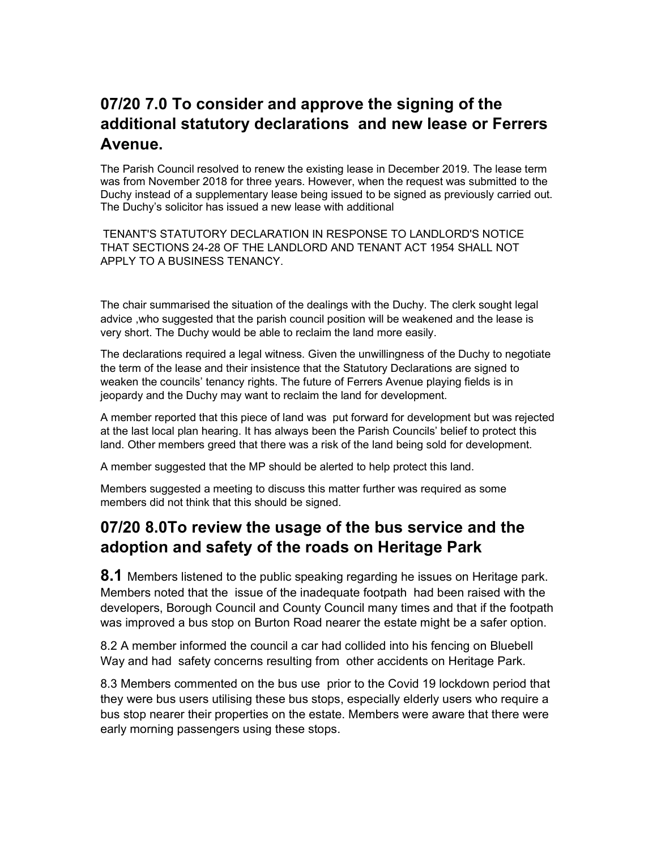## 07/20 7.0 To consider and approve the signing of the additional statutory declarations and new lease or Ferrers Avenue.

The Parish Council resolved to renew the existing lease in December 2019. The lease term was from November 2018 for three years. However, when the request was submitted to the Duchy instead of a supplementary lease being issued to be signed as previously carried out. The Duchy's solicitor has issued a new lease with additional

TENANT'S STATUTORY DECLARATION IN RESPONSE TO LANDLORD'S NOTICE THAT SECTIONS 24-28 OF THE LANDLORD AND TENANT ACT 1954 SHALL NOT APPLY TO A BUSINESS TENANCY.

The chair summarised the situation of the dealings with the Duchy. The clerk sought legal advice ,who suggested that the parish council position will be weakened and the lease is very short. The Duchy would be able to reclaim the land more easily.

The declarations required a legal witness. Given the unwillingness of the Duchy to negotiate the term of the lease and their insistence that the Statutory Declarations are signed to weaken the councils' tenancy rights. The future of Ferrers Avenue playing fields is in jeopardy and the Duchy may want to reclaim the land for development.

A member reported that this piece of land was put forward for development but was rejected at the last local plan hearing. It has always been the Parish Councils' belief to protect this land. Other members greed that there was a risk of the land being sold for development.

A member suggested that the MP should be alerted to help protect this land.

Members suggested a meeting to discuss this matter further was required as some members did not think that this should be signed.

## 07/20 8.0To review the usage of the bus service and the adoption and safety of the roads on Heritage Park

 $8.1$  Members listened to the public speaking regarding he issues on Heritage park. Members noted that the issue of the inadequate footpath had been raised with the developers, Borough Council and County Council many times and that if the footpath was improved a bus stop on Burton Road nearer the estate might be a safer option.

8.2 A member informed the council a car had collided into his fencing on Bluebell Way and had safety concerns resulting from other accidents on Heritage Park.

8.3 Members commented on the bus use prior to the Covid 19 lockdown period that they were bus users utilising these bus stops, especially elderly users who require a bus stop nearer their properties on the estate. Members were aware that there were early morning passengers using these stops.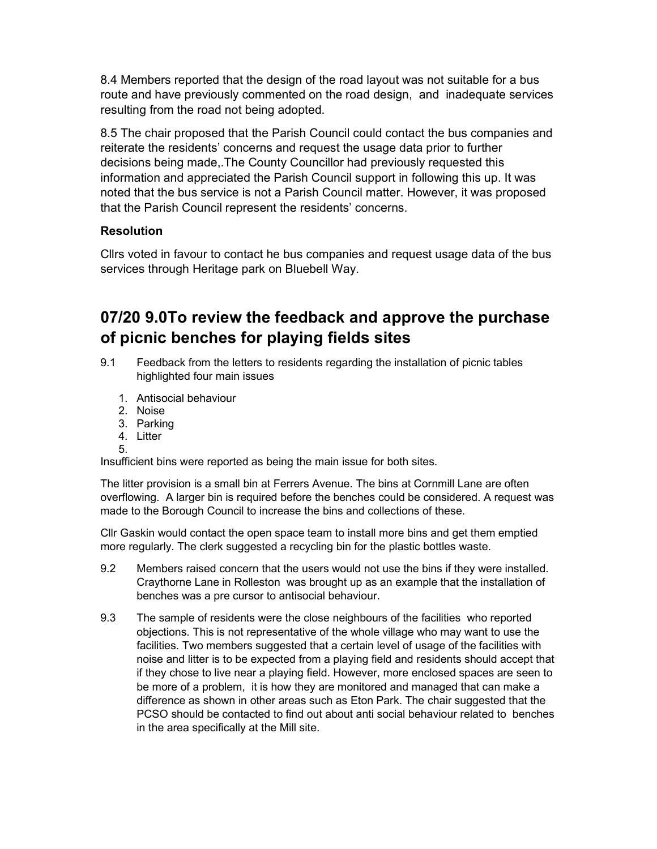8.4 Members reported that the design of the road layout was not suitable for a bus route and have previously commented on the road design, and inadequate services resulting from the road not being adopted.

8.5 The chair proposed that the Parish Council could contact the bus companies and reiterate the residents' concerns and request the usage data prior to further decisions being made,.The County Councillor had previously requested this information and appreciated the Parish Council support in following this up. It was noted that the bus service is not a Parish Council matter. However, it was proposed that the Parish Council represent the residents' concerns.

#### Resolution

Cllrs voted in favour to contact he bus companies and request usage data of the bus services through Heritage park on Bluebell Way.

## 07/20 9.0To review the feedback and approve the purchase of picnic benches for playing fields sites

- 9.1 Feedback from the letters to residents regarding the installation of picnic tables highlighted four main issues
	- 1. Antisocial behaviour
	- 2. Noise
	- 3. Parking
	- 4. Litter
	- 5.

Insufficient bins were reported as being the main issue for both sites.

The litter provision is a small bin at Ferrers Avenue. The bins at Cornmill Lane are often overflowing. A larger bin is required before the benches could be considered. A request was made to the Borough Council to increase the bins and collections of these.

Cllr Gaskin would contact the open space team to install more bins and get them emptied more regularly. The clerk suggested a recycling bin for the plastic bottles waste.

- 9.2 Members raised concern that the users would not use the bins if they were installed. Craythorne Lane in Rolleston was brought up as an example that the installation of benches was a pre cursor to antisocial behaviour.
- 9.3 The sample of residents were the close neighbours of the facilities who reported objections. This is not representative of the whole village who may want to use the facilities. Two members suggested that a certain level of usage of the facilities with noise and litter is to be expected from a playing field and residents should accept that if they chose to live near a playing field. However, more enclosed spaces are seen to be more of a problem, it is how they are monitored and managed that can make a difference as shown in other areas such as Eton Park. The chair suggested that the PCSO should be contacted to find out about anti social behaviour related to benches in the area specifically at the Mill site.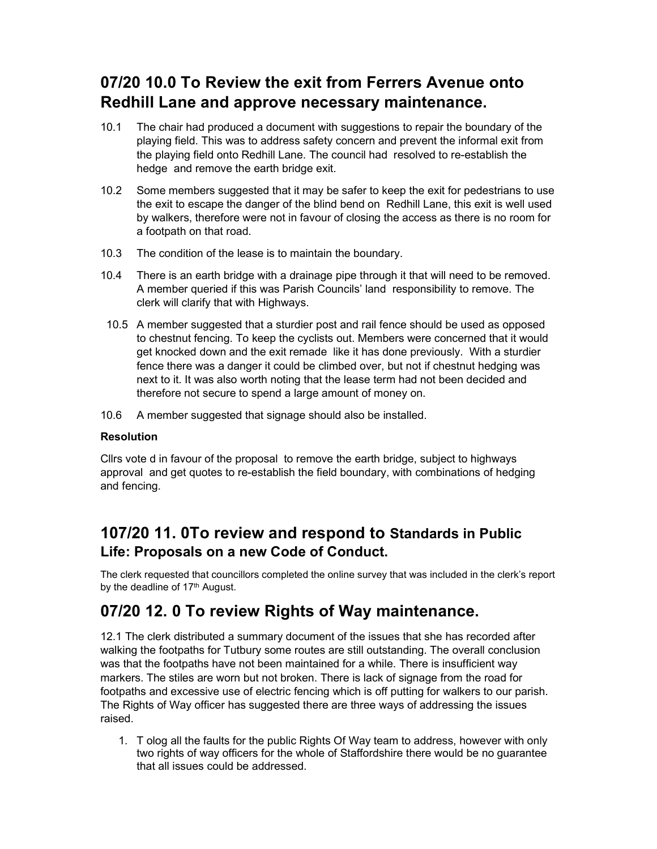## 07/20 10.0 To Review the exit from Ferrers Avenue onto Redhill Lane and approve necessary maintenance.

- 10.1 The chair had produced a document with suggestions to repair the boundary of the playing field. This was to address safety concern and prevent the informal exit from the playing field onto Redhill Lane. The council had resolved to re-establish the hedge and remove the earth bridge exit.
- 10.2 Some members suggested that it may be safer to keep the exit for pedestrians to use the exit to escape the danger of the blind bend on Redhill Lane, this exit is well used by walkers, therefore were not in favour of closing the access as there is no room for a footpath on that road.
- 10.3 The condition of the lease is to maintain the boundary.
- 10.4 There is an earth bridge with a drainage pipe through it that will need to be removed. A member queried if this was Parish Councils' land responsibility to remove. The clerk will clarify that with Highways.
- 10.5 A member suggested that a sturdier post and rail fence should be used as opposed to chestnut fencing. To keep the cyclists out. Members were concerned that it would get knocked down and the exit remade like it has done previously. With a sturdier fence there was a danger it could be climbed over, but not if chestnut hedging was next to it. It was also worth noting that the lease term had not been decided and therefore not secure to spend a large amount of money on.
- 10.6 A member suggested that signage should also be installed.

#### Resolution

Cllrs vote d in favour of the proposal to remove the earth bridge, subject to highways approval and get quotes to re-establish the field boundary, with combinations of hedging and fencing.

### 107/20 11. 0To review and respond to Standards in Public Life: Proposals on a new Code of Conduct.

The clerk requested that councillors completed the online survey that was included in the clerk's report by the deadline of 17<sup>th</sup> August.

## 07/20 12. 0 To review Rights of Way maintenance.

12.1 The clerk distributed a summary document of the issues that she has recorded after walking the footpaths for Tutbury some routes are still outstanding. The overall conclusion was that the footpaths have not been maintained for a while. There is insufficient way markers. The stiles are worn but not broken. There is lack of signage from the road for footpaths and excessive use of electric fencing which is off putting for walkers to our parish. The Rights of Way officer has suggested there are three ways of addressing the issues raised.

1. T olog all the faults for the public Rights Of Way team to address, however with only two rights of way officers for the whole of Staffordshire there would be no guarantee that all issues could be addressed.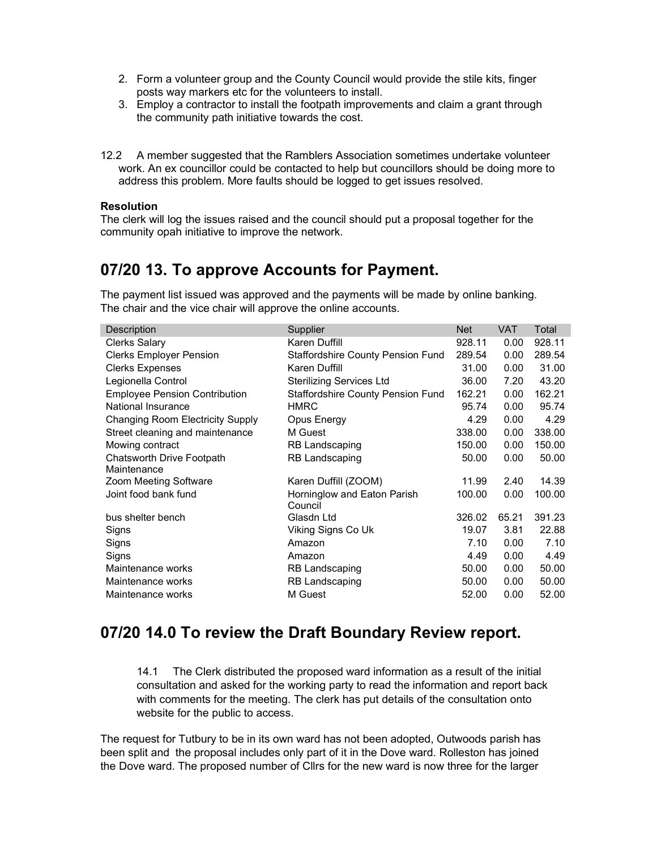- 2. Form a volunteer group and the County Council would provide the stile kits, finger posts way markers etc for the volunteers to install.
- 3. Employ a contractor to install the footpath improvements and claim a grant through the community path initiative towards the cost.
- 12.2 A member suggested that the Ramblers Association sometimes undertake volunteer work. An ex councillor could be contacted to help but councillors should be doing more to address this problem. More faults should be logged to get issues resolved.

#### **Resolution**

The clerk will log the issues raised and the council should put a proposal together for the community opah initiative to improve the network.

## 07/20 13. To approve Accounts for Payment.

The payment list issued was approved and the payments will be made by online banking. The chair and the vice chair will approve the online accounts.

| Karen Duffill<br>928.11<br>0.00<br>Clerks Salary<br>0.00<br><b>Clerks Employer Pension</b><br><b>Staffordshire County Pension Fund</b><br>289.54 | 928.11<br>289.54<br>31.00<br>43.20 |
|--------------------------------------------------------------------------------------------------------------------------------------------------|------------------------------------|
|                                                                                                                                                  |                                    |
|                                                                                                                                                  |                                    |
| 0.00<br>Karen Duffill<br>31.00<br><b>Clerks Expenses</b>                                                                                         |                                    |
| Legionella Control<br>Sterilizing Services Ltd<br>36.00<br>7.20                                                                                  |                                    |
| <b>Employee Pension Contribution</b><br>Staffordshire County Pension Fund<br>162.21<br>0.00                                                      | 162.21                             |
| <b>National Insurance</b><br>95.74<br>0.00<br><b>HMRC</b>                                                                                        | 95.74                              |
| 4.29<br>0.00<br><b>Changing Room Electricity Supply</b><br>Opus Energy                                                                           | 4.29                               |
| 0.00<br>Street cleaning and maintenance<br>M Guest<br>338.00                                                                                     | 338.00                             |
| 150.00<br>0.00<br>Mowing contract<br><b>RB Landscaping</b>                                                                                       | 150.00                             |
| <b>Chatsworth Drive Footpath</b><br>50.00<br>0.00<br>RB Landscaping                                                                              | 50.00                              |
| Maintenance                                                                                                                                      |                                    |
| Karen Duffill (ZOOM)<br>2.40<br>Zoom Meeting Software<br>11.99                                                                                   | 14.39                              |
| Joint food bank fund<br>Horninglow and Eaton Parish<br>100.00<br>0.00                                                                            | 100.00                             |
| Council                                                                                                                                          |                                    |
| bus shelter bench<br>Glasdn Ltd<br>65.21<br>326.02                                                                                               | 391.23                             |
| Viking Signs Co Uk<br>19.07<br>3.81<br>Signs                                                                                                     | 22.88                              |
| 0.00<br>7.10<br>Signs<br>Amazon                                                                                                                  | 7.10                               |
| Signs<br>4.49<br>0.00<br>Amazon                                                                                                                  | 4.49                               |
| Maintenance works<br>0.00<br>50.00<br>RB Landscaping                                                                                             | 50.00                              |
| 50.00<br>0.00<br><b>RB Landscaping</b><br>Maintenance works                                                                                      | 50.00                              |
| M Guest<br>0.00<br>52.00<br>Maintenance works                                                                                                    | 52.00                              |

### 07/20 14.0 To review the Draft Boundary Review report.

14.1 The Clerk distributed the proposed ward information as a result of the initial consultation and asked for the working party to read the information and report back with comments for the meeting. The clerk has put details of the consultation onto website for the public to access.

The request for Tutbury to be in its own ward has not been adopted, Outwoods parish has been split and the proposal includes only part of it in the Dove ward. Rolleston has joined the Dove ward. The proposed number of Cllrs for the new ward is now three for the larger